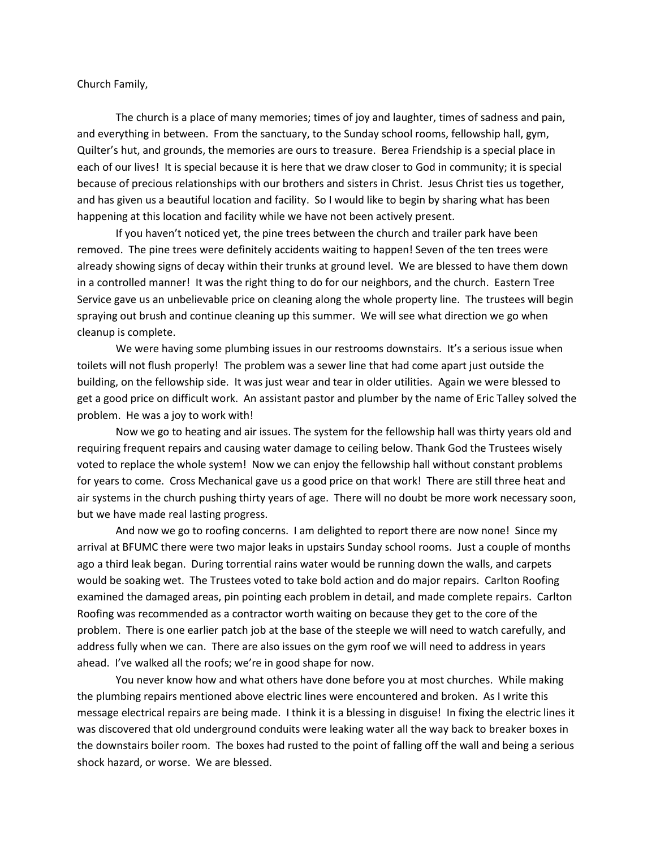Church Family,

The church is a place of many memories; times of joy and laughter, times of sadness and pain, and everything in between. From the sanctuary, to the Sunday school rooms, fellowship hall, gym, Quilter's hut, and grounds, the memories are ours to treasure. Berea Friendship is a special place in each of our lives! It is special because it is here that we draw closer to God in community; it is special because of precious relationships with our brothers and sisters in Christ. Jesus Christ ties us together, and has given us a beautiful location and facility. So I would like to begin by sharing what has been happening at this location and facility while we have not been actively present.

If you haven't noticed yet, the pine trees between the church and trailer park have been removed. The pine trees were definitely accidents waiting to happen! Seven of the ten trees were already showing signs of decay within their trunks at ground level. We are blessed to have them down in a controlled manner! It was the right thing to do for our neighbors, and the church. Eastern Tree Service gave us an unbelievable price on cleaning along the whole property line. The trustees will begin spraying out brush and continue cleaning up this summer. We will see what direction we go when cleanup is complete.

We were having some plumbing issues in our restrooms downstairs. It's a serious issue when toilets will not flush properly! The problem was a sewer line that had come apart just outside the building, on the fellowship side. It was just wear and tear in older utilities. Again we were blessed to get a good price on difficult work. An assistant pastor and plumber by the name of Eric Talley solved the problem. He was a joy to work with!

Now we go to heating and air issues. The system for the fellowship hall was thirty years old and requiring frequent repairs and causing water damage to ceiling below. Thank God the Trustees wisely voted to replace the whole system! Now we can enjoy the fellowship hall without constant problems for years to come. Cross Mechanical gave us a good price on that work! There are still three heat and air systems in the church pushing thirty years of age. There will no doubt be more work necessary soon, but we have made real lasting progress.

And now we go to roofing concerns. I am delighted to report there are now none! Since my arrival at BFUMC there were two major leaks in upstairs Sunday school rooms. Just a couple of months ago a third leak began. During torrential rains water would be running down the walls, and carpets would be soaking wet. The Trustees voted to take bold action and do major repairs. Carlton Roofing examined the damaged areas, pin pointing each problem in detail, and made complete repairs. Carlton Roofing was recommended as a contractor worth waiting on because they get to the core of the problem. There is one earlier patch job at the base of the steeple we will need to watch carefully, and address fully when we can. There are also issues on the gym roof we will need to address in years ahead. I've walked all the roofs; we're in good shape for now.

You never know how and what others have done before you at most churches. While making the plumbing repairs mentioned above electric lines were encountered and broken. As I write this message electrical repairs are being made. I think it is a blessing in disguise! In fixing the electric lines it was discovered that old underground conduits were leaking water all the way back to breaker boxes in the downstairs boiler room. The boxes had rusted to the point of falling off the wall and being a serious shock hazard, or worse. We are blessed.